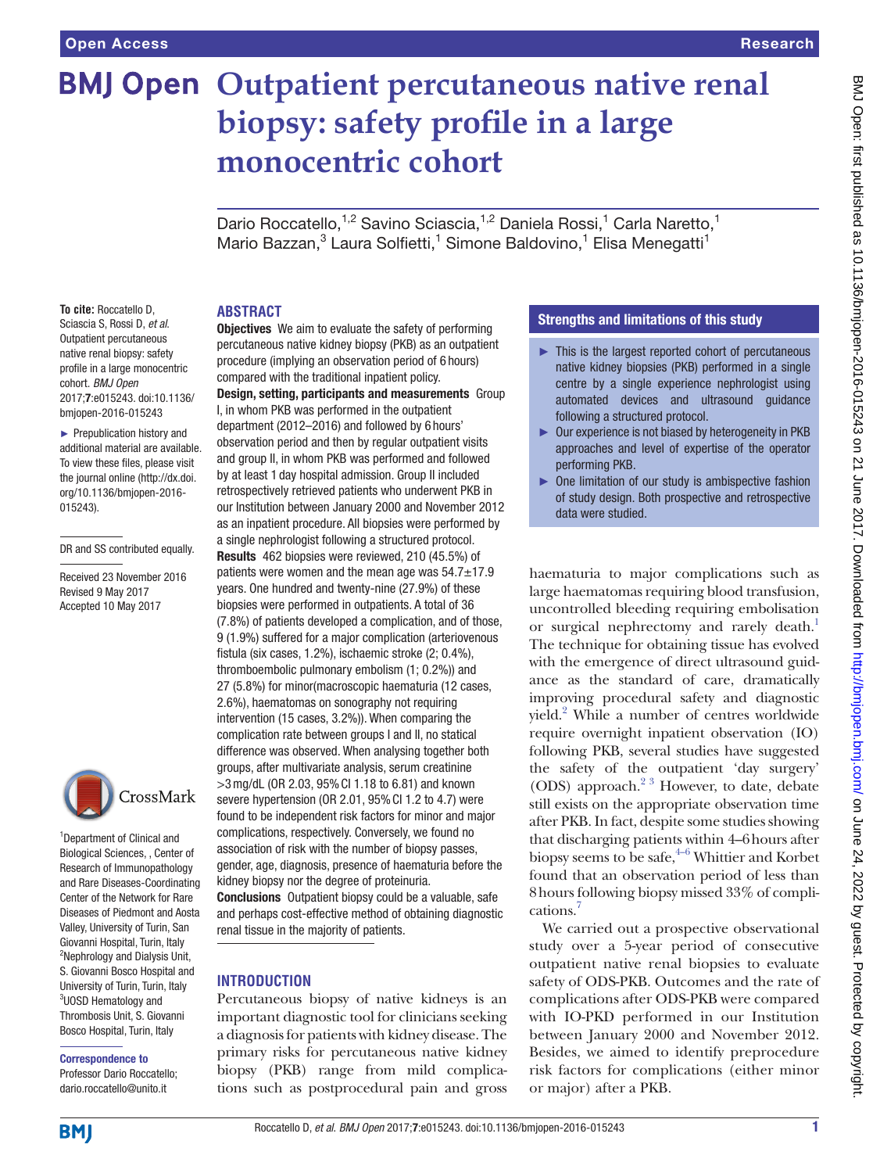# **BMJ Open Outpatient percutaneous native renal biopsy: safety profile in a large monocentric cohort**

Dario Roccatello, <sup>1,2</sup> Savino Sciascia, <sup>1,2</sup> Daniela Rossi, <sup>1</sup> Carla Naretto, <sup>1</sup> Mario Bazzan,<sup>3</sup> Laura Solfietti,<sup>1</sup> Simone Baldovino,<sup>1</sup> Elisa Menegatti<sup>1</sup>

#### **Abstract**

**To cite:** Roccatello D, Sciascia S, Rossi D, *et al*. Outpatient percutaneous native renal biopsy: safety profile in a large monocentric cohort. *BMJ Open* 2017;7:e015243. doi:10.1136/ bmjopen-2016-015243

► Prepublication history and additional material are available. To view these files, please visit the journal online (http://dx.doi. org/10.1136/bmjopen-2016- 015243).

DR and SS contributed equally.

Received 23 November 2016 Revised 9 May 2017 Accepted 10 May 2017



<sup>1</sup>Department of Clinical and Biological Sciences, , Center of Research of Immunopathology and Rare Diseases-Coordinating Center of the Network for Rare Diseases of Piedmont and Aosta Valley, University of Turin, San Giovanni Hospital, Turin, Italy <sup>2</sup>Nephrology and Dialysis Unit, S. Giovanni Bosco Hospital and University of Turin, Turin, Italy 3 UOSD Hematology and Thrombosis Unit, S. Giovanni Bosco Hospital, Turin, Italy

## Correspondence to

Professor Dario Roccatello; dario.roccatello@unito.it

percutaneous native kidney biopsy (PKB) as an outpatient procedure (implying an observation period of 6 hours) compared with the traditional inpatient policy. Design, setting, participants and measurements Group I, in whom PKB was performed in the outpatient department (2012–2016) and followed by 6 hours' observation period and then by regular outpatient visits and group II, in whom PKB was performed and followed by at least 1 day hospital admission. Group II included retrospectively retrieved patients who underwent PKB in our Institution between January 2000 and November 2012 as an inpatient procedure. All biopsies were performed by a single nephrologist following a structured protocol. Results 462 biopsies were reviewed, 210 (45.5%) of patients were women and the mean age was  $54.7 \pm 17.9$ years. One hundred and twenty-nine (27.9%) of these biopsies were performed in outpatients. A total of 36 (7.8%) of patients developed a complication, and of those, 9 (1.9%) suffered for a major complication (arteriovenous fistula (six cases, 1.2%), ischaemic stroke (2; 0.4%), thromboembolic pulmonary embolism (1; 0.2%)) and 27 (5.8%) for minor(macroscopic haematuria (12 cases, 2.6%), haematomas on sonography not requiring intervention (15 cases, 3.2%)). When comparing the complication rate between groups I and II, no statical difference was observed. When analysing together both groups, after multivariate analysis, serum creatinine >3mg/dL (OR 2.03, 95%CI 1.18 to 6.81) and known severe hypertension (OR 2.01, 95% Cl 1.2 to 4.7) were found to be independent risk factors for minor and major complications, respectively. Conversely, we found no association of risk with the number of biopsy passes, gender, age, diagnosis, presence of haematuria before the kidney biopsy nor the degree of proteinuria. Conclusions Outpatient biopsy could be a valuable, safe and perhaps cost-effective method of obtaining diagnostic renal tissue in the majority of patients.

**Objectives** We aim to evaluate the safety of performing

#### **Introduction**

Percutaneous biopsy of native kidneys is an important diagnostic tool for clinicians seeking a diagnosis for patients with kidney disease. The primary risks for percutaneous native kidney biopsy (PKB) range from mild complications such as postprocedural pain and gross

#### Strengths and limitations of this study

- ► This is the largest reported cohort of percutaneous native kidney biopsies (PKB) performed in a single centre by a single experience nephrologist using automated devices and ultrasound guidance following a structured protocol.
- ► Our experience is not biased by heterogeneity in PKB approaches and level of expertise of the operator performing PKB.
- ► One limitation of our study is ambispective fashion of study design. Both prospective and retrospective data were studied.

haematuria to major complications such as large haematomas requiring blood transfusion, uncontrolled bleeding requiring embolisation or surgical nephrectomy and rarely death.<sup>1</sup> The technique for obtaining tissue has evolved with the emergence of direct ultrasound guidance as the standard of care, dramatically improving procedural safety and diagnostic yield.<sup>[2](#page-4-1)</sup> While a number of centres worldwide require overnight inpatient observation (IO) following PKB, several studies have suggested the safety of the outpatient 'day surgery' (ODS) approach.[2 3](#page-4-1) However, to date, debate still exists on the appropriate observation time after PKB. In fact, despite some studies showing that discharging patients within 4–6hours after biopsy seems to be safe, $4-6$  Whittier and Korbet found that an observation period of less than 8hours following biopsy missed 33% of complications.<sup>7</sup>

We carried out a prospective observational study over a 5-year period of consecutive outpatient native renal biopsies to evaluate safety of ODS-PKB. Outcomes and the rate of complications after ODS-PKB were compared with IO-PKD performed in our Institution between January 2000 and November 2012. Besides, we aimed to identify preprocedure risk factors for complications (either minor or major) after a PKB.

**BMI**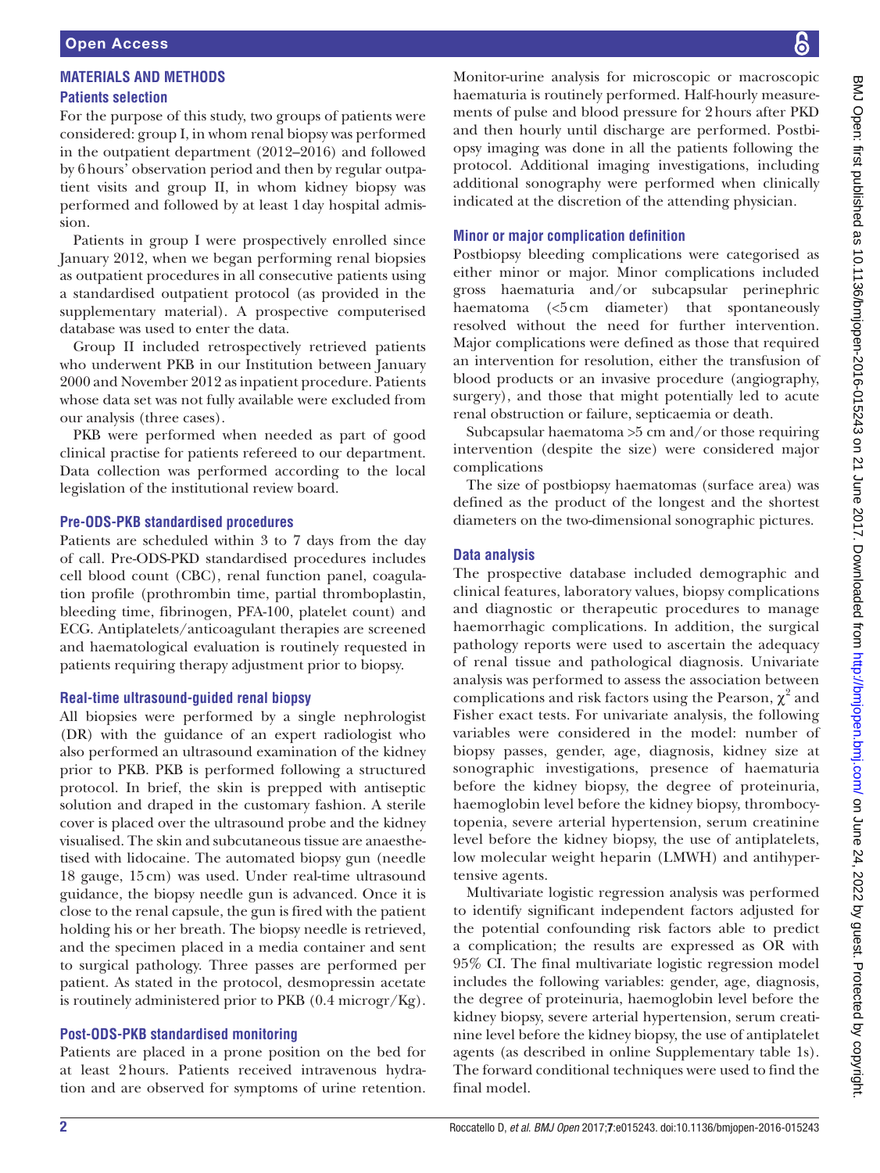# **Materials and methods**

## **Patients selection**

For the purpose of this study, two groups of patients were considered: group I, in whom renal biopsy was performed in the outpatient department (2012–2016) and followed by 6hours' observation period and then by regular outpatient visits and group II, in whom kidney biopsy was performed and followed by at least 1day hospital admission.

Patients in group I were prospectively enrolled since January 2012, when we began performing renal biopsies as outpatient procedures in all consecutive patients using a standardised outpatient protocol (as provided in the supplementary material). A prospective computerised database was used to enter the data.

Group II included retrospectively retrieved patients who underwent PKB in our Institution between January 2000 and November 2012 as inpatient procedure. Patients whose data set was not fully available were excluded from our analysis (three cases).

PKB were performed when needed as part of good clinical practise for patients refereed to our department. Data collection was performed according to the local legislation of the institutional review board.

#### **Pre-ODS-PKB standardised procedures**

Patients are scheduled within 3 to 7 days from the day of call. Pre-ODS-PKD standardised procedures includes cell blood count (CBC), renal function panel, coagulation profile (prothrombin time, partial thromboplastin, bleeding time, fibrinogen, PFA-100, platelet count) and ECG. Antiplatelets/anticoagulant therapies are screened and haematological evaluation is routinely requested in patients requiring therapy adjustment prior to biopsy.

#### **Real-time ultrasound-guided renal biopsy**

All biopsies were performed by a single nephrologist (DR) with the guidance of an expert radiologist who also performed an ultrasound examination of the kidney prior to PKB. PKB is performed following a structured protocol. In brief, the skin is prepped with antiseptic solution and draped in the customary fashion. A sterile cover is placed over the ultrasound probe and the kidney visualised. The skin and subcutaneous tissue are anaesthetised with lidocaine. The automated biopsy gun (needle 18 gauge, 15cm) was used. Under real-time ultrasound guidance, the biopsy needle gun is advanced. Once it is close to the renal capsule, the gun is fired with the patient holding his or her breath. The biopsy needle is retrieved, and the specimen placed in a media container and sent to surgical pathology. Three passes are performed per patient. As stated in the protocol, desmopressin acetate is routinely administered prior to PKB (0.4 microgr/Kg).

#### **Post-ODS-PKB standardised monitoring**

Patients are placed in a prone position on the bed for at least 2hours. Patients received intravenous hydration and are observed for symptoms of urine retention.

Monitor-urine analysis for microscopic or macroscopic haematuria is routinely performed. Half-hourly measurements of pulse and blood pressure for 2hours after PKD and then hourly until discharge are performed. Postbiopsy imaging was done in all the patients following the protocol. Additional imaging investigations, including additional sonography were performed when clinically indicated at the discretion of the attending physician.

#### **Minor or major complication definition**

Postbiopsy bleeding complications were categorised as either minor or major. Minor complications included gross haematuria and/or subcapsular perinephric haematoma (<5cm diameter) that spontaneously resolved without the need for further intervention. Major complications were defined as those that required an intervention for resolution, either the transfusion of blood products or an invasive procedure (angiography, surgery), and those that might potentially led to acute renal obstruction or failure, septicaemia or death.

Subcapsular haematoma >5 cm and/or those requiring intervention (despite the size) were considered major complications

The size of postbiopsy haematomas (surface area) was defined as the product of the longest and the shortest diameters on the two-dimensional sonographic pictures.

#### **Data analysis**

The prospective database included demographic and clinical features, laboratory values, biopsy complications and diagnostic or therapeutic procedures to manage haemorrhagic complications. In addition, the surgical pathology reports were used to ascertain the adequacy of renal tissue and pathological diagnosis. Univariate analysis was performed to assess the association between complications and risk factors using the Pearson,  $\chi^2$  and Fisher exact tests. For univariate analysis, the following variables were considered in the model: number of biopsy passes, gender, age, diagnosis, kidney size at sonographic investigations, presence of haematuria before the kidney biopsy, the degree of proteinuria, haemoglobin level before the kidney biopsy, thrombocytopenia, severe arterial hypertension, serum creatinine level before the kidney biopsy, the use of antiplatelets, low molecular weight heparin (LMWH) and antihypertensive agents.

Multivariate logistic regression analysis was performed to identify significant independent factors adjusted for the potential confounding risk factors able to predict a complication; the results are expressed as OR with 95% CI. The final multivariate logistic regression model includes the following variables: gender, age, diagnosis, the degree of proteinuria, haemoglobin level before the kidney biopsy, severe arterial hypertension, serum creatinine level before the kidney biopsy, the use of antiplatelet agents (as described in online Supplementary table 1s). The forward conditional techniques were used to find the final model.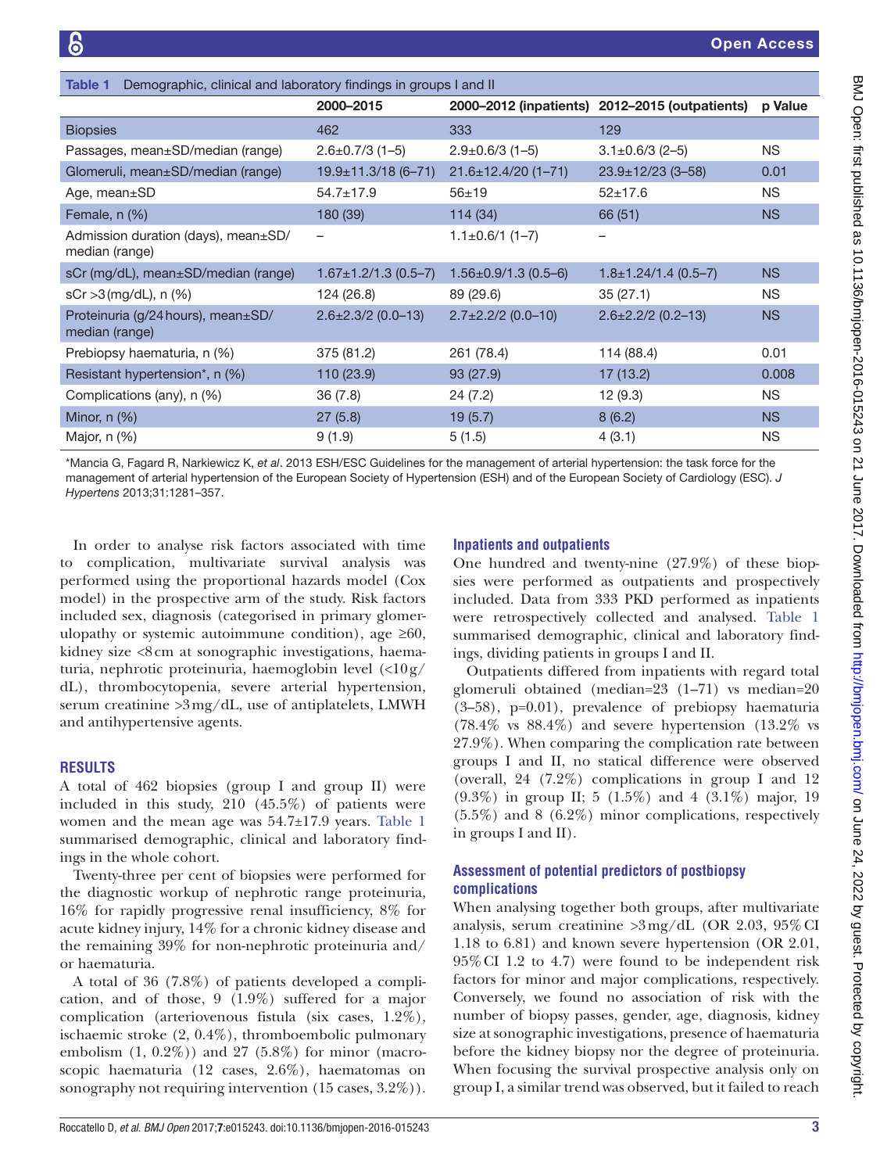<span id="page-2-0"></span>

| Demographic, clinical and laboratory findings in groups I and II<br><b>Table 1</b> |                            |                            |                                                |           |
|------------------------------------------------------------------------------------|----------------------------|----------------------------|------------------------------------------------|-----------|
|                                                                                    | 2000-2015                  |                            | 2000–2012 (inpatients) 2012–2015 (outpatients) | p Value   |
| <b>Biopsies</b>                                                                    | 462                        | 333                        | 129                                            |           |
| Passages, mean±SD/median (range)                                                   | $2.6 \pm 0.7/3$ (1-5)      | $2.9 \pm 0.6/3$ (1-5)      | $3.1 \pm 0.6/3$ (2-5)                          | <b>NS</b> |
| Glomeruli, mean±SD/median (range)                                                  | $19.9 \pm 11.3/18$ (6-71)  | $21.6 \pm 12.4/20(1 - 71)$ | $23.9 \pm 12/23$ (3-58)                        | 0.01      |
| Age, mean $\pm$ SD                                                                 | $54.7 \pm 17.9$            | $56 + 19$                  | $52+17.6$                                      | <b>NS</b> |
| Female, n (%)                                                                      | 180 (39)                   | 114(34)                    | 66 (51)                                        | <b>NS</b> |
| Admission duration (days), mean±SD/<br>median (range)                              |                            | $1.1 \pm 0.6/1$ (1-7)      |                                                |           |
| sCr (mg/dL), mean±SD/median (range)                                                | $1.67 \pm 1.2/1.3$ (0.5-7) | $1.56 \pm 0.9/1.3$ (0.5-6) | $1.8 \pm 1.24/1.4$ (0.5-7)                     | <b>NS</b> |
| $sCr > 3$ (mg/dL), n $(\%)$                                                        | 124 (26.8)                 | 89 (29.6)                  | 35(27.1)                                       | <b>NS</b> |
| Proteinuria (g/24 hours), mean±SD/<br>median (range)                               | $2.6 \pm 2.3 / 2$ (0.0-13) | $2.7 \pm 2.2 / 2$ (0.0-10) | $2.6 \pm 2.2 / 2 (0.2 - 13)$                   | <b>NS</b> |
| Prebiopsy haematuria, n (%)                                                        | 375 (81.2)                 | 261 (78.4)                 | 114 (88.4)                                     | 0.01      |
| Resistant hypertension*, n (%)                                                     | 110 (23.9)                 | 93(27.9)                   | 17(13.2)                                       | 0.008     |
| Complications (any), n (%)                                                         | 36(7.8)                    | 24(7.2)                    | 12(9.3)                                        | <b>NS</b> |
| Minor, $n$ $(\%)$                                                                  | 27(5.8)                    | 19(5.7)                    | 8(6.2)                                         | <b>NS</b> |
| Major, n (%)                                                                       | 9(1.9)                     | 5(1.5)                     | 4(3.1)                                         | <b>NS</b> |

\*Mancia G, Fagard R, Narkiewicz K, *et al*. 2013 ESH/ESC Guidelines for the management of arterial hypertension: the task force for the management of arterial hypertension of the European Society of Hypertension (ESH) and of the European Society of Cardiology (ESC). *J Hypertens* 2013;31:1281–357.

In order to analyse risk factors associated with time to complication, multivariate survival analysis was performed using the proportional hazards model (Cox model) in the prospective arm of the study. Risk factors included sex, diagnosis (categorised in primary glomerulopathy or systemic autoimmune condition), age  $\geq 60$ , kidney size <8cm at sonographic investigations, haematuria, nephrotic proteinuria, haemoglobin level (<10g/ dL), thrombocytopenia, severe arterial hypertension, serum creatinine >3mg/dL, use of antiplatelets, LMWH and antihypertensive agents.

#### **Results**

A total of 462 biopsies (group I and group II) were included in this study, 210 (45.5%) of patients were women and the mean age was 54.7±17.9 years. [Table](#page-2-0) 1 summarised demographic, clinical and laboratory findings in the whole cohort.

Twenty-three per cent of biopsies were performed for the diagnostic workup of nephrotic range proteinuria, 16% for rapidly progressive renal insufficiency, 8% for acute kidney injury, 14% for a chronic kidney disease and the remaining 39% for non-nephrotic proteinuria and/ or haematuria.

A total of 36 (7.8%) of patients developed a complication, and of those, 9 (1.9%) suffered for a major complication (arteriovenous fistula (six cases, 1.2%), ischaemic stroke (2, 0.4%), thromboembolic pulmonary embolism  $(1, 0.2\%)$  and  $27$   $(5.8\%)$  for minor (macroscopic haematuria (12 cases, 2.6%), haematomas on sonography not requiring intervention  $(15 \text{ cases}, 3.2\%)$ ).

## **Inpatients and outpatients**

One hundred and twenty-nine (27.9%) of these biopsies were performed as outpatients and prospectively included. Data from 333 PKD performed as inpatients were retrospectively collected and analysed. [Table](#page-2-0) 1 summarised demographic, clinical and laboratory findings, dividing patients in groups I and II.

Outpatients differed from inpatients with regard total glomeruli obtained (median=23 (1–71) vs median=20 (3–58), p=0.01), prevalence of prebiopsy haematuria  $(78.4\% \text{ vs } 88.4\%)$  and severe hypertension  $(13.2\% \text{ vs } 89.4\%)$ 27.9%). When comparing the complication rate between groups I and II, no statical difference were observed (overall, 24 (7.2%) complications in group I and 12 (9.3%) in group II; 5 (1.5%) and 4 (3.1%) major, 19 (5.5%) and 8 (6.2%) minor complications, respectively in groups I and II).

## **Assessment of potential predictors of postbiopsy complications**

When analysing together both groups, after multivariate analysis, serum creatinine  $>3 \text{mg/dL}$  (OR 2.03, 95% CI 1.18 to 6.81) and known severe hypertension (OR 2.01, 95%CI 1.2 to 4.7) were found to be independent risk factors for minor and major complications, respectively. Conversely, we found no association of risk with the number of biopsy passes, gender, age, diagnosis, kidney size at sonographic investigations, presence of haematuria before the kidney biopsy nor the degree of proteinuria. When focusing the survival prospective analysis only on group I, a similar trend was observed, but it failed to reach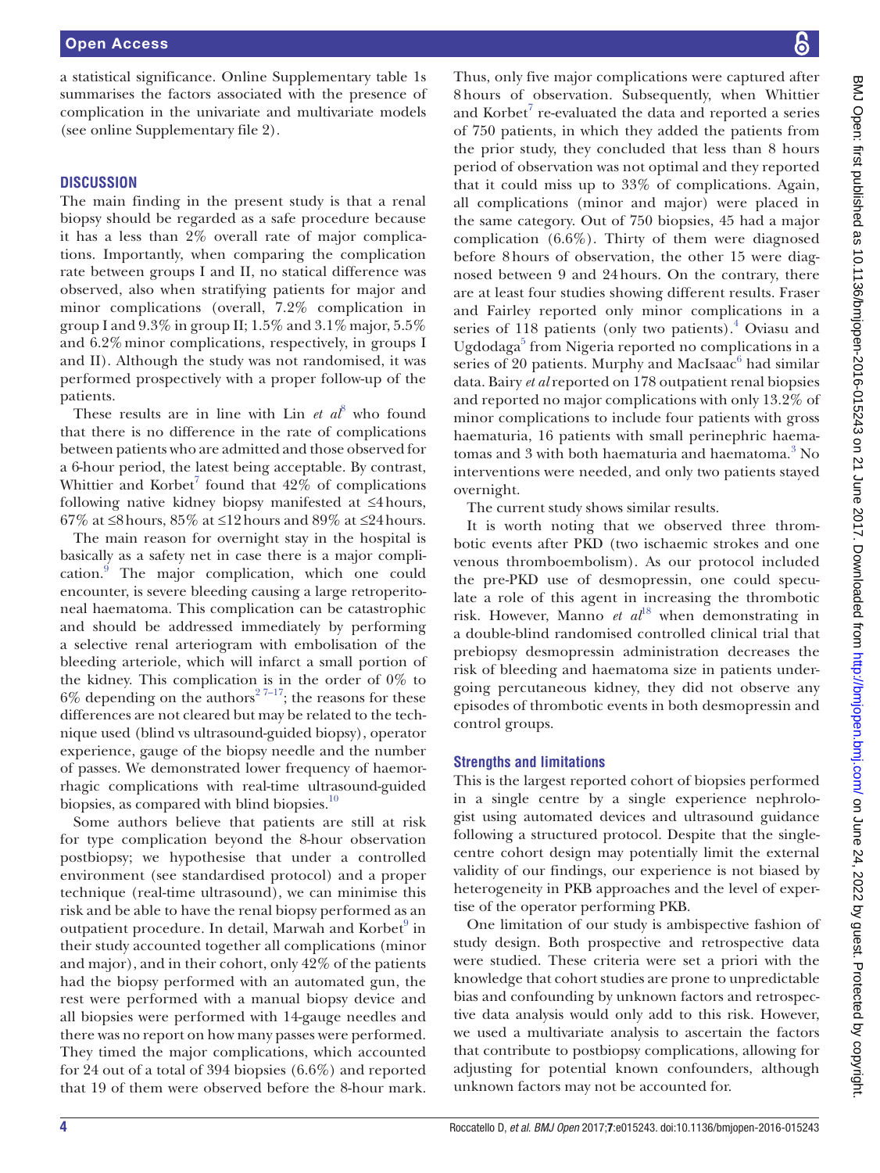a statistical significance. Online Supplementary table 1s summarises the factors associated with the presence of complication in the univariate and multivariate models (see online Supplementary file 2).

#### **Discussion**

The main finding in the present study is that a renal biopsy should be regarded as a safe procedure because it has a less than 2% overall rate of major complications. Importantly, when comparing the complication rate between groups I and II, no statical difference was observed, also when stratifying patients for major and minor complications (overall, 7.2% complication in group I and  $9.3\%$  in group II;  $1.5\%$  and  $3.1\%$  major,  $5.5\%$ and 6.2%minor complications, respectively, in groups I and II). Although the study was not randomised, it was performed prospectively with a proper follow-up of the patients.

These results are in line with  $\text{Lin}$  *et al*<sup>[8](#page-4-4)</sup> who found that there is no difference in the rate of complications between patients who are admitted and those observed for a 6-hour period, the latest being acceptable. By contrast, Whittier and Korbet<sup>[7](#page-4-3)</sup> found that  $42\%$  of complications following native kidney biopsy manifested at ≤4hours, 67% at ≤8 hours, 85% at ≤12 hours and 89% at ≤24 hours.

The main reason for overnight stay in the hospital is basically as a safety net in case there is a major complication.<sup>9</sup> The major complication, which one could encounter, is severe bleeding causing a large retroperitoneal haematoma. This complication can be catastrophic and should be addressed immediately by performing a selective renal arteriogram with embolisation of the bleeding arteriole, which will infarct a small portion of the kidney. This complication is in the order of 0% to 6% depending on the authors<sup>27-17</sup>; the reasons for these differences are not cleared but may be related to the technique used (blind vs ultrasound-guided biopsy), operator experience, gauge of the biopsy needle and the number of passes. We demonstrated lower frequency of haemorrhagic complications with real-time ultrasound-guided biopsies, as compared with blind biopsies.<sup>10</sup>

Some authors believe that patients are still at risk for type complication beyond the 8-hour observation postbiopsy; we hypothesise that under a controlled environment (see standardised protocol) and a proper technique (real-time ultrasound), we can minimise this risk and be able to have the renal biopsy performed as an outpatient procedure. In detail, Marwah and Korbet<sup>[9](#page-4-5)</sup> in their study accounted together all complications (minor and major), and in their cohort, only 42% of the patients had the biopsy performed with an automated gun, the rest were performed with a manual biopsy device and all biopsies were performed with 14-gauge needles and there was no report on how many passes were performed. They timed the major complications, which accounted for 24 out of a total of 394 biopsies (6.6%) and reported that 19 of them were observed before the 8-hour mark.

Thus, only five major complications were captured after 8hours of observation. Subsequently, when Whittier and  $K$ orbet $^7$  $^7$  re-evaluated the data and reported a series of 750 patients, in which they added the patients from the prior study, they concluded that less than 8 hours period of observation was not optimal and they reported that it could miss up to 33% of complications. Again, all complications (minor and major) were placed in the same category. Out of 750 biopsies, 45 had a major complication (6.6%). Thirty of them were diagnosed before 8hours of observation, the other 15 were diagnosed between 9 and 24hours. On the contrary, there are at least four studies showing different results. Fraser and Fairley reported only minor complications in a series of 118 patients (only two patients).<sup>[4](#page-4-2)</sup> Oviasu and Ugdodaga<sup>[5](#page-4-7)</sup> from Nigeria reported no complications in a series of 20 patients. Murphy and MacIsaac $^6$  $^6$  had similar data. Bairy *et al* reported on 178 outpatient renal biopsies and reported no major complications with only 13.2% of minor complications to include four patients with gross haematuria, 16 patients with small perinephric haema-tomas and [3](#page-4-9) with both haematuria and haematoma.<sup>3</sup> No interventions were needed, and only two patients stayed overnight.

The current study shows similar results.

It is worth noting that we observed three thrombotic events after PKD (two ischaemic strokes and one venous thromboembolism). As our protocol included the pre-PKD use of desmopressin, one could speculate a role of this agent in increasing the thrombotic risk. However, Manno *et*  $al^{18}$  $al^{18}$  $al^{18}$  when demonstrating in a double-blind randomised controlled clinical trial that prebiopsy desmopressin administration decreases the risk of bleeding and haematoma size in patients undergoing percutaneous kidney, they did not observe any episodes of thrombotic events in both desmopressin and control groups.

#### **Strengths and limitations**

This is the largest reported cohort of biopsies performed in a single centre by a single experience nephrologist using automated devices and ultrasound guidance following a structured protocol. Despite that the singlecentre cohort design may potentially limit the external validity of our findings, our experience is not biased by heterogeneity in PKB approaches and the level of expertise of the operator performing PKB.

One limitation of our study is ambispective fashion of study design. Both prospective and retrospective data were studied. These criteria were set a priori with the knowledge that cohort studies are prone to unpredictable bias and confounding by unknown factors and retrospective data analysis would only add to this risk. However, we used a multivariate analysis to ascertain the factors that contribute to postbiopsy complications, allowing for adjusting for potential known confounders, although unknown factors may not be accounted for.